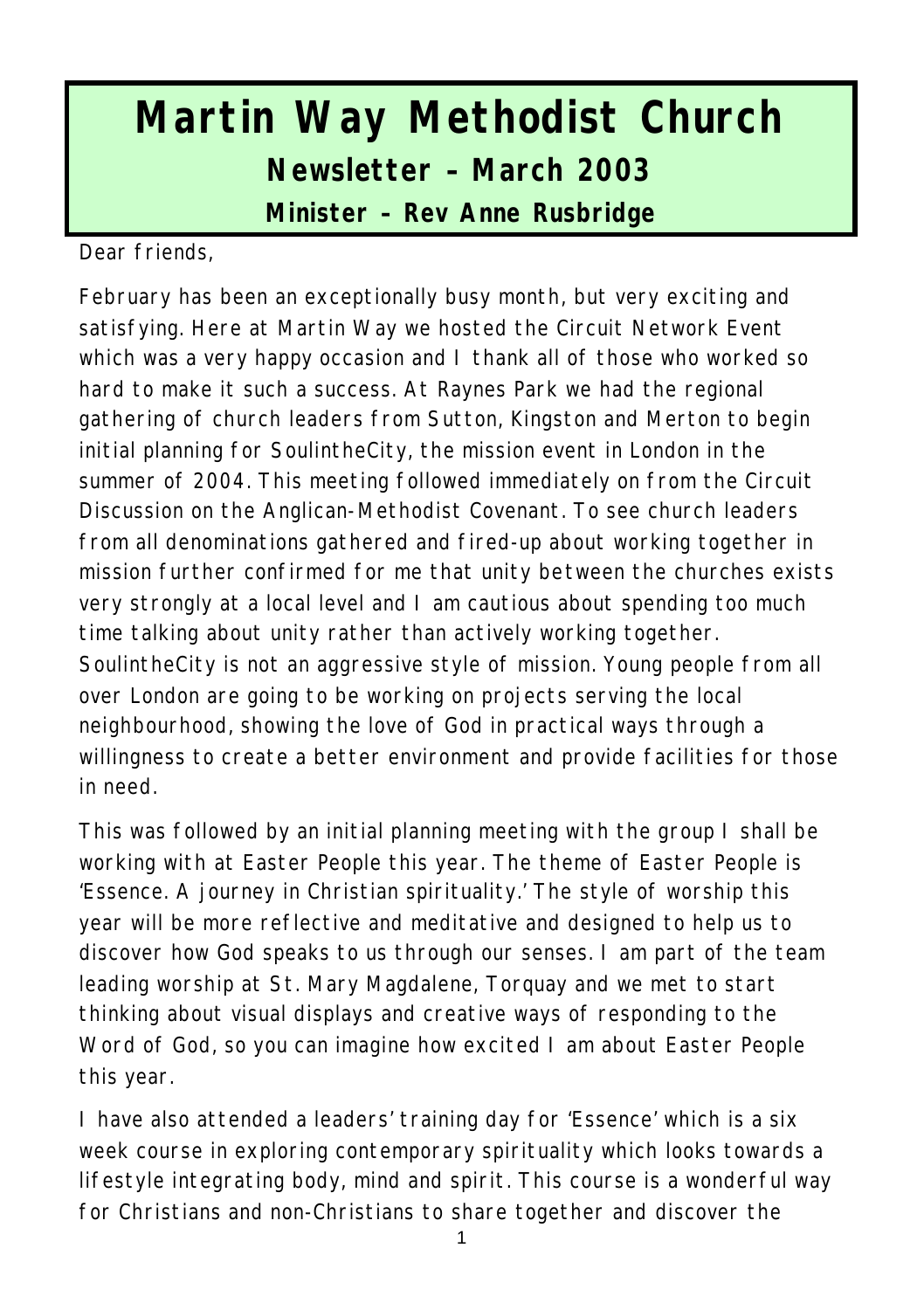# **Martin Way Methodist Church Newsletter – March 2003 Minister – Rev Anne Rusbridge**

Dear friends,

February has been an exceptionally busy month, but very exciting and satisfying. Here at Martin Way we hosted the Circuit Network Event which was a very happy occasion and I thank all of those who worked so hard to make it such a success. At Raynes Park we had the regional gathering of church leaders from Sutton, Kingston and Merton to begin initial planning for SoulintheCity, the mission event in London in the summer of 2004. This meeting followed immediately on from the Circuit Discussion on the Anglican-Methodist Covenant. To see church leaders from all denominations gathered and fired-up about working together in mission further confirmed for me that unity between the churches exists very strongly at a local level and I am cautious about spending too much time talking about unity rather than actively working together. SoulintheCity is not an aggressive style of mission. Young people from all over London are going to be working on projects serving the local neighbourhood, showing the love of God in practical ways through a willingness to create a better environment and provide facilities for those in need.

This was followed by an initial planning meeting with the group I shall be working with at Easter People this year. The theme of Easter People is 'Essence. A journey in Christian spirituality.' The style of worship this year will be more reflective and meditative and designed to help us to discover how God speaks to us through our senses. I am part of the team leading worship at St. Mary Magdalene, Torquay and we met to start thinking about visual displays and creative ways of responding to the Word of God, so you can imagine how excited I am about Easter People this year.

I have also attended a leaders' training day for 'Essence' which is a six week course in exploring contemporary spirituality which looks towards a lifestyle integrating body, mind and spirit. This course is a wonderful way for Christians and non-Christians to share together and discover the

1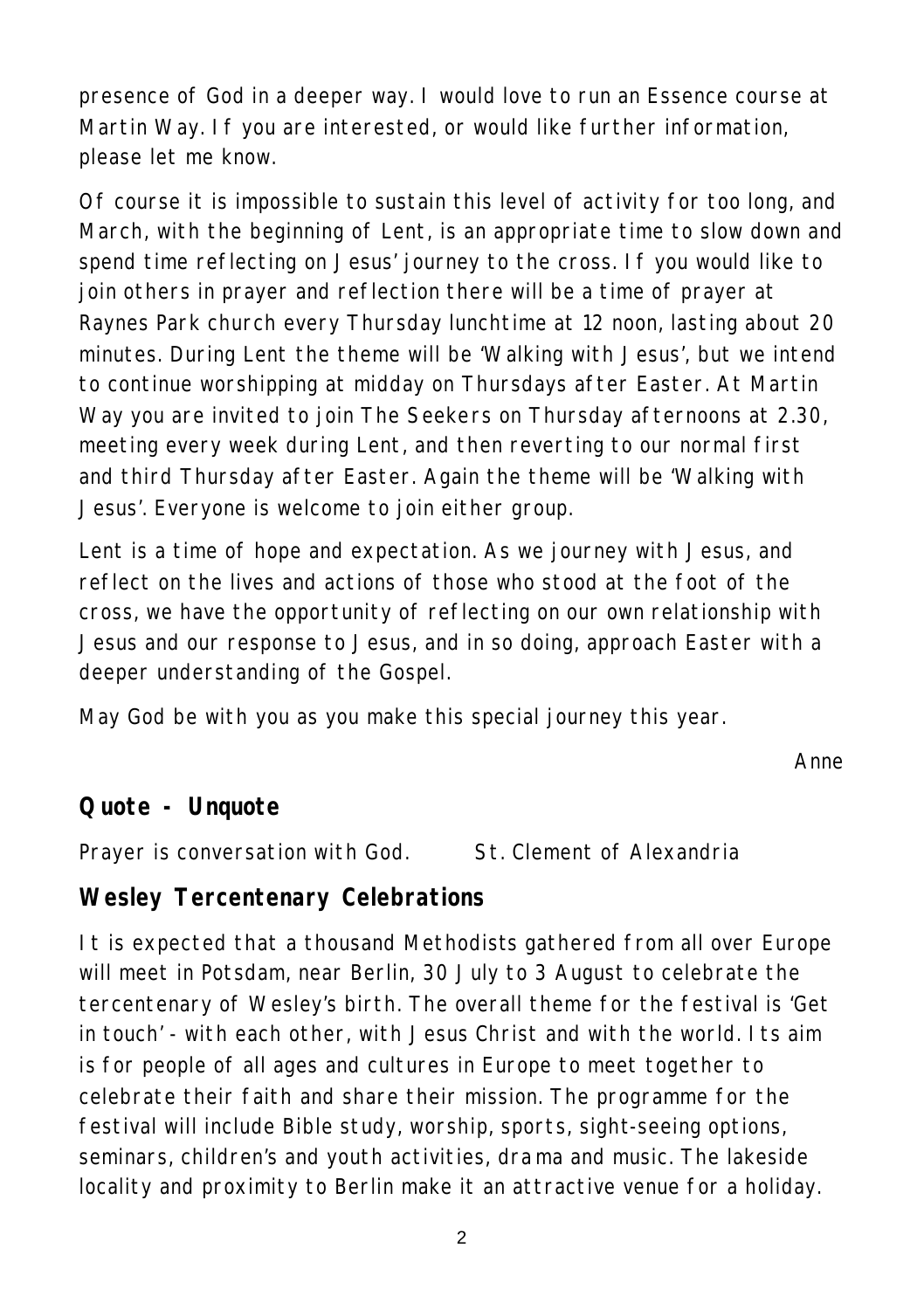presence of God in a deeper way. I would love to run an Essence course at Martin Way. If you are interested, or would like further information, please let me know.

Of course it is impossible to sustain this level of activity for too long, and March, with the beginning of Lent, is an appropriate time to slow down and spend time reflecting on Jesus' journey to the cross. If you would like to join others in prayer and reflection there will be a time of prayer at Raynes Park church every Thursday lunchtime at 12 noon, lasting about 20 minutes. During Lent the theme will be 'Walking with Jesus', but we intend to continue worshipping at midday on Thursdays after Easter. At Martin Way you are invited to join The Seekers on Thursday afternoons at 2.30, meeting every week during Lent, and then reverting to our normal first and third Thursday after Easter. Again the theme will be 'Walking with Jesus'. Everyone is welcome to join either group.

Lent is a time of hope and expectation. As we journey with Jesus, and reflect on the lives and actions of those who stood at the foot of the cross, we have the opportunity of reflecting on our own relationship with Jesus and our response to Jesus, and in so doing, approach Easter with a deeper understanding of the Gospel.

May God be with you as you make this special journey this year.

*Anne*

#### **Quote - Unquote**

Prayer is conversation with God. St. Clement of Alexandria

# **Wesley Tercentenary Celebrations**

It is expected that a thousand Methodists gathered from all over Europe will meet in Potsdam, near Berlin, 30 July to 3 August to celebrate the tercentenary of Wesley's birth. The overall theme for the festival is 'Get in touch' - with each other, with Jesus Christ and with the world. Its aim is for people of all ages and cultures in Europe to meet together to celebrate their faith and share their mission. The programme for the festival will include Bible study, worship, sports, sight-seeing options, seminars, children's and youth activities, dra ma and music. The lakeside locality and proximity to Berlin make it an attractive venue for a holiday.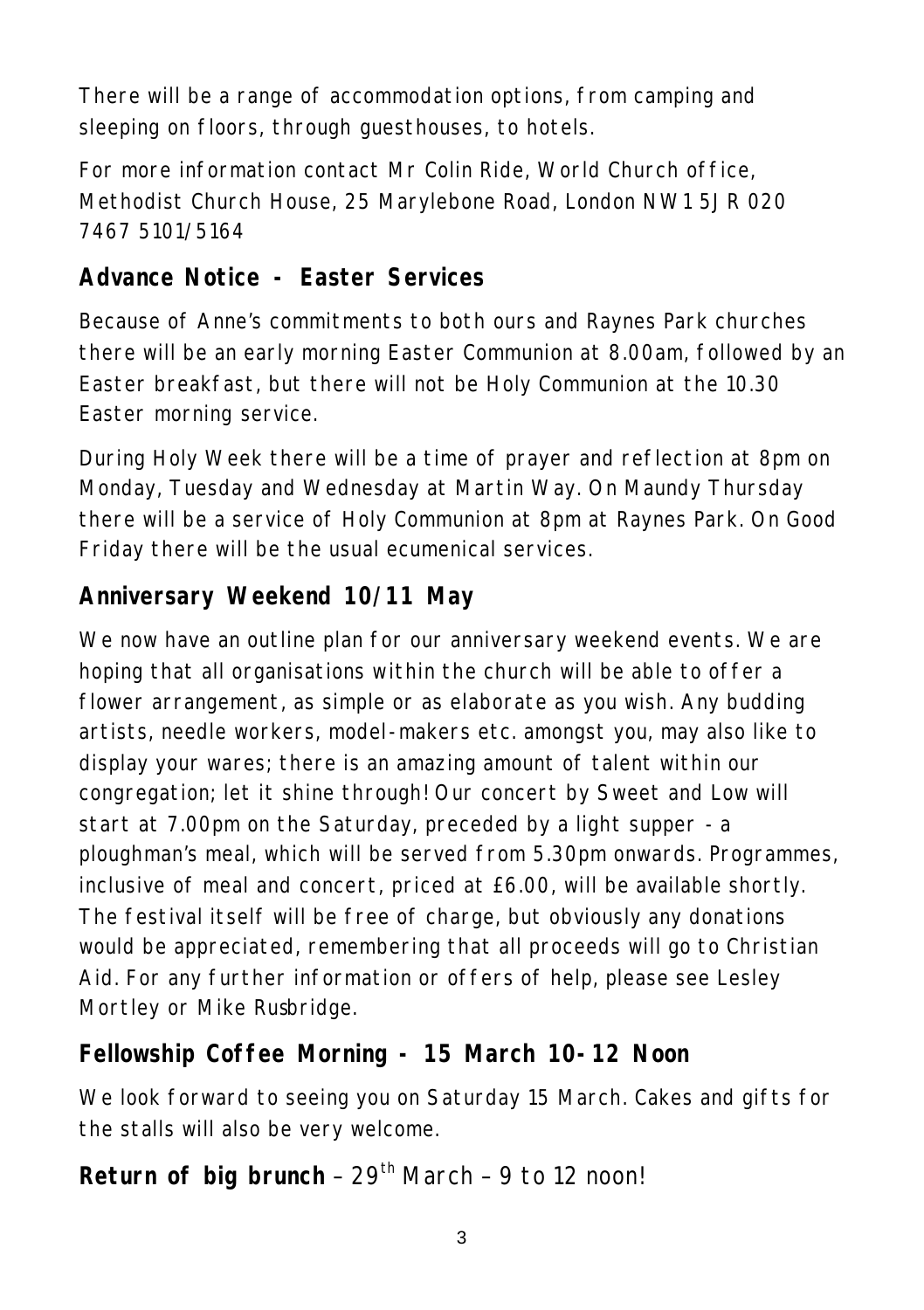There will be a range of accommodation options, from camping and sleeping on floors, through guesthouses, to hotels.

For more information contact Mr Colin Ride, World Church office, Methodist Church House, 25 Marylebone Road, London NW1 5JR 020 7467 5101/5164

### **Advance Notice - Easter Services**

Because of Anne's commitments to both ours and Raynes Park churches there will be an early morning Easter Communion at 8.00am, followed by an Easter breakfast, but there will not be Holy Communion at the 10.30 Easter morning service.

During Holy Week there will be a time of prayer and reflection at 8pm on Monday, Tuesday and Wednesday at Martin Way. On Maundy Thursday there will be a service of Holy Communion at 8pm at Raynes Park. On Good Friday there will be the usual ecumenical services.

# **Anniversary Weekend 10/11 May**

We now have an outline plan for our anniversary weekend events. We are hoping that all organisations within the church will be able to offer a flower arrangement, as simple or as elaborate as you wish. Any budding artists, needle workers, model-makers etc. amongst you, may also like to display your wares; there is an amazing amount of talent within our congregation; let it shine through! Our concert by Sweet and Low will start at 7.00pm on the Saturday, preceded by a light supper - a ploughman's meal, which will be served from 5.30pm onwards. Programmes, inclusive of meal and concert, priced at £6.00, will be available shortly. The festival itself will be free of charge, but obviously any donations would be appreciated, remembering that all proceeds will go to Christian Aid. For any further information or offers of help, please see Lesley Mortley or Mike Rusbridge.

#### **Fellowship Coffee Morning - 15 March 10-12 Noon**

We look forward to seeing you on Saturday 15 March. Cakes and gifts for the stalls will also be very welcome.

# Return of big brunch - 29<sup>th</sup> March - 9 to 12 noon!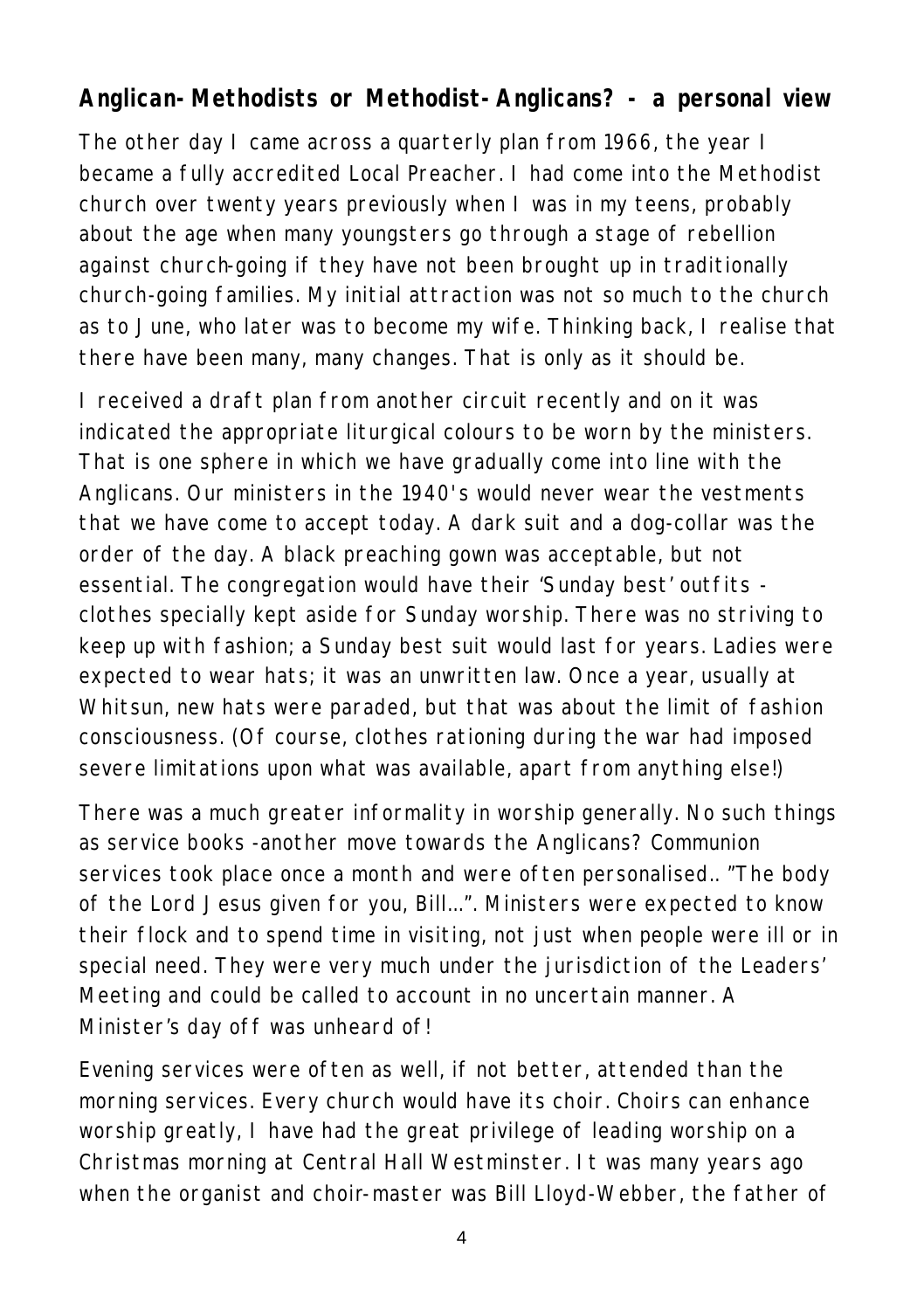#### **Anglican-Methodists or Methodist-Anglicans? - a personal view**

The other day I came across a quarterly plan from 1966, the year I became a fully accredited Local Preacher. I had come into the Methodist church over twenty years previously when I was in my teens, probably about the age when many youngsters go through a stage of rebellion against church-going if they have not been brought up in traditionally church-going families. My initial attraction was not so much to the church as to June, who later was to become my wife. Thinking back, I realise that there have been many, many changes. That is only as it should be.

I received a draft plan from another circuit recently and on it was indicated the appropriate liturgical colours to be worn by the ministers. That is one sphere in which we have gradually come into line with the Anglicans. Our ministers in the 1940's would never wear the vestments that we have come to accept today. A dark suit and a dog-collar was the order of the day. A black preaching gown was acceptable, but not essential. The congregation would have their 'Sunday best' outfits clothes specially kept aside for Sunday worship. There was no striving to keep up with fashion; a Sunday best suit would last for years. Ladies were expected to wear hats; it was an unwritten law. Once a year, usually at Whitsun, new hats were paraded, but that was about the limit of fashion consciousness. (Of course, clothes rationing during the war had imposed severe limitations upon what was available, apart from anything else!)

There was a much greater informality in worship generally. No such things as service books -another move towards the Anglicans? Communion services took place once a month and were often personalised.. "The body of the Lord Jesus given for you, Bill...". Ministers were expected to know their flock and to spend time in visiting, not just when people were ill or in special need. They were very much under the jurisdiction of the Leaders' Meeting and could be called to account in no uncertain manner. A Minister's day off was unheard of!

Evening services were often as well, if not better, attended than the morning services. Every church would have its choir. Choirs can enhance worship greatly, I have had the great privilege of leading worship on a Christmas morning at Central Hall Westminster. It was many years ago when the organist and choir-master was Bill Lloyd-Webber, the father of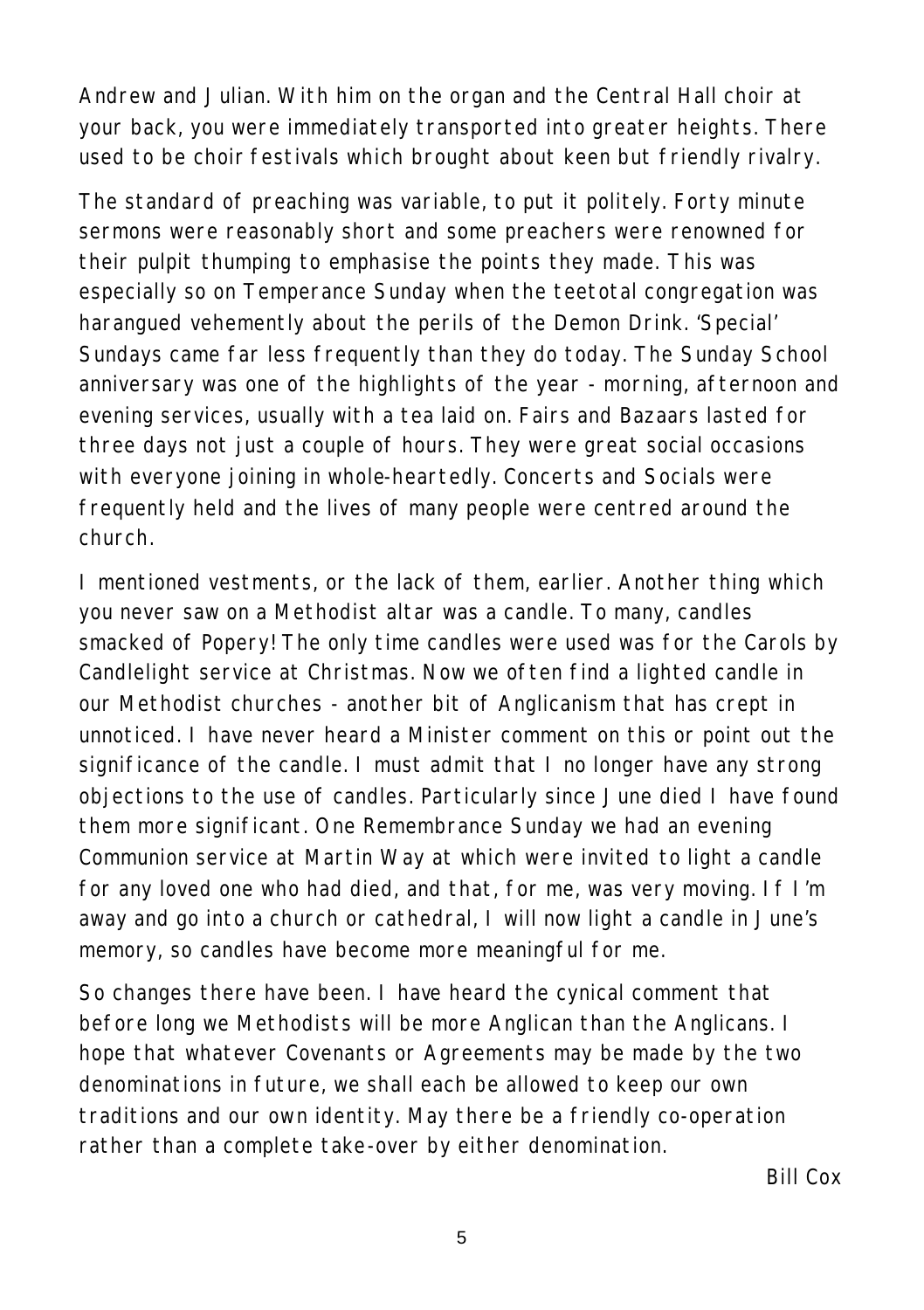Andrew and Julian. With him on the organ and the Central Hall choir at your back, you were immediately transported into greater heights. There used to be choir festivals which brought about keen but friendly rivalry.

The standard of preaching was variable, to put it politely. Forty minute sermons were reasonably short and some preachers were renowned for their pulpit thumping to emphasise the points they made. This was especially so on Temperance Sunday when the teetotal congregation was harangued vehemently about the perils of the Demon Drink. 'Special' Sundays came far less frequently than they do today. The Sunday School anniversary was one of the highlights of the year - morning, afternoon and evening services, usually with a tea laid on. Fairs and Bazaars lasted for three days not just a couple of hours. They were great social occasions with everyone joining in whole-heartedly. Concerts and Socials were frequently held and the lives of many people were centred around the church.

I mentioned vestments, or the lack of them, earlier. Another thing which you never saw on a Methodist altar was a candle. To many, candles smacked of Popery! The only time candles were used was for the Carols by Candlelight service at Christmas. Now we often find a lighted candle in our Methodist churches - another bit of Anglicanism that has crept in unnoticed. I have never heard a Minister comment on this or point out the significance of the candle. I must admit that I no longer have any strong objections to the use of candles. Particularly since June died I have found them more significant. One Remembrance Sunday we had an evening Communion service at Martin Way at which were invited to light a candle for any loved one who had died, and that, for me, was very moving. If I'm away and go into a church or cathedral, I will now light a candle in June's memory, so candles have become more meaningful for me.

So changes there have been. I have heard the cynical comment that before long we Methodists will be more Anglican than the Anglicans. I hope that whatever Covenants or Agreements may be made by the two denominations in future, we shall each be allowed to keep our own traditions and our own identity. May there be a friendly co-operation rather than a complete take-over by either denomination.

*Bill Cox*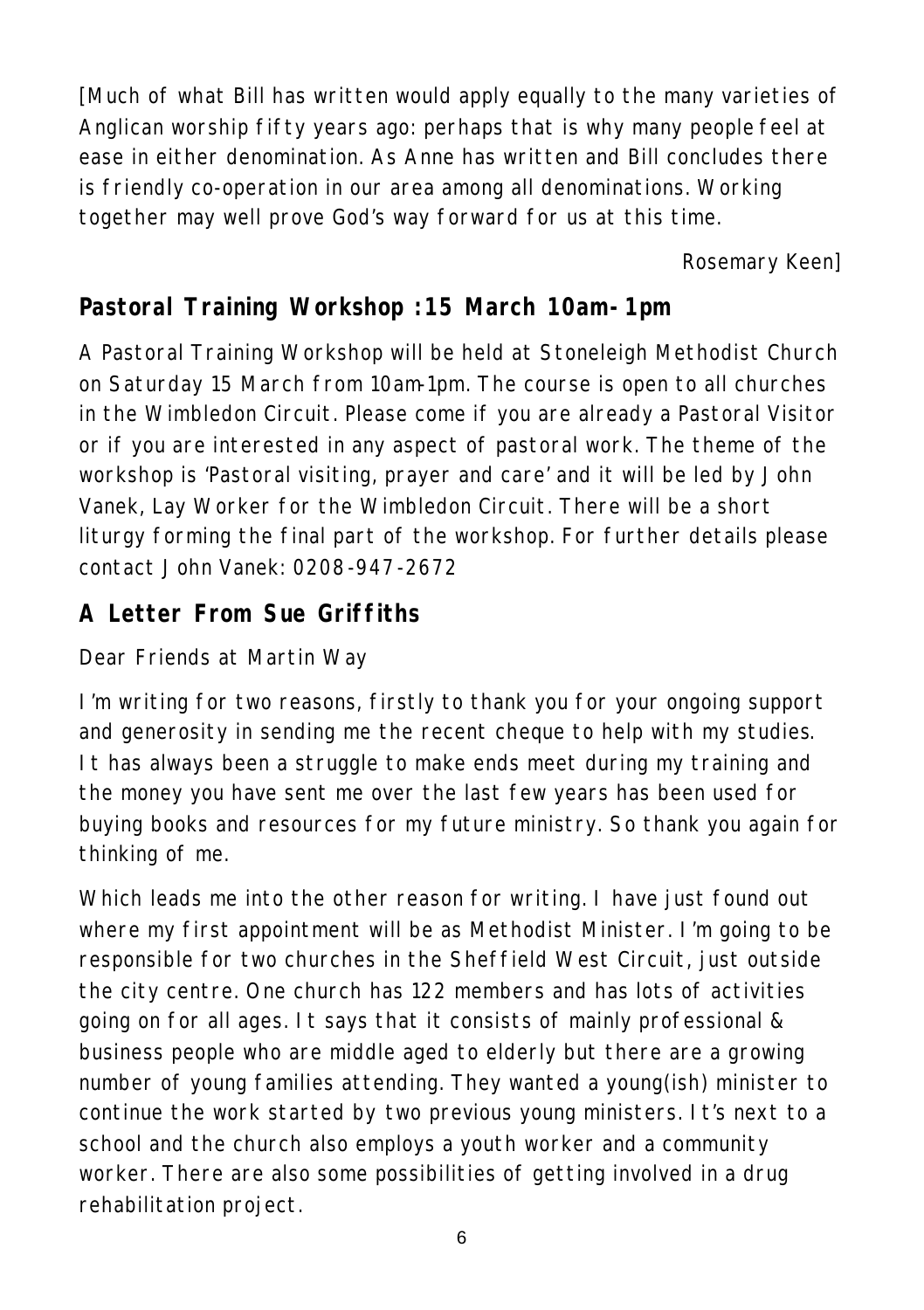[Much of what Bill has written would apply equally to the many varieties of Anglican worship fifty years ago: perhaps that is why many people feel at ease in either denomination. As Anne has written and Bill concludes there is friendly co-operation in our area among all denominations. Working together may well prove God's way forward for us at this time.

*Rosemary Keen]*

# **Pastoral Training Workshop :15 March 10am-1pm**

A Pastoral Training Workshop will be held at Stoneleigh Methodist Church on Saturday 15 March from 10am-1pm. The course is open to all churches in the Wimbledon Circuit. Please come if you are already a Pastoral Visitor or if you are interested in any aspect of pastoral work. The theme of the workshop is 'Pastoral visiting, prayer and care' and it will be led by John Vanek, Lay Worker for the Wimbledon Circuit. There will be a short liturgy forming the final part of the workshop. For further details please contact John Vanek: 0208-947-2672

### **A Letter From Sue Griffiths**

Dear Friends at Martin Way

I'm writing for two reasons, firstly to thank you for your ongoing support and generosity in sending me the recent cheque to help with my studies. It has always been a struggle to make ends meet during my training and the money you have sent me over the last few years has been used for buying books and resources for my future ministry. So thank you again for thinking of me.

Which leads me into the other reason for writing. I have just found out where my first appointment will be as Methodist Minister. I'm going to be responsible for two churches in the Sheffield West Circuit, just outside the city centre. One church has 122 members and has lots of activities going on for all ages. It says that it consists of mainly professional & business people who are middle aged to elderly but there are a growing number of young families attending. They wanted a young(ish) minister to continue the work started by two previous young ministers. It's next to a school and the church also employs a youth worker and a community worker. There are also some possibilities of getting involved in a drug rehabilitation project.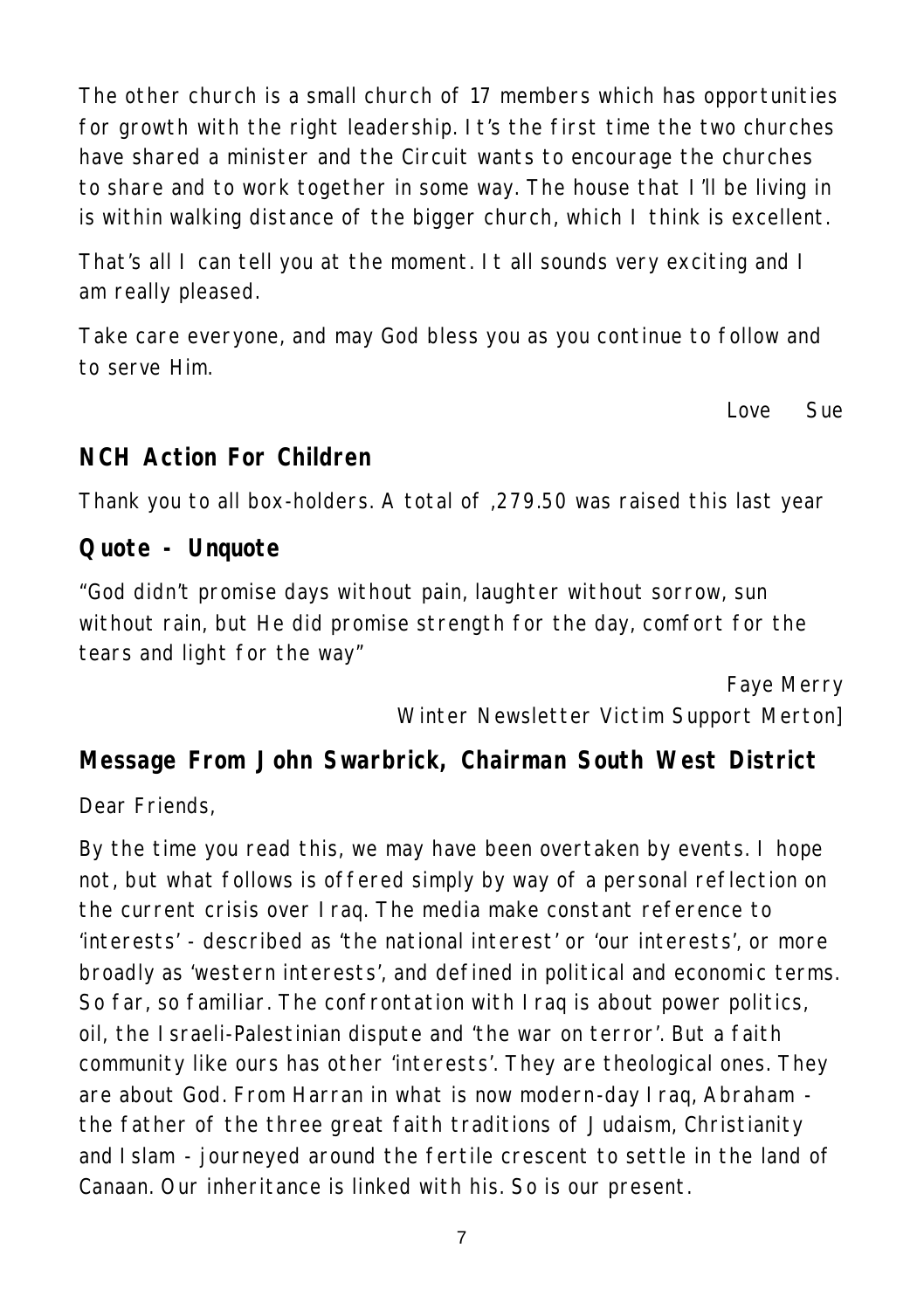The other church is a small church of 17 members which has opportunities for growth with the right leadership. It's the first time the two churches have shared a minister and the Circuit wants to encourage the churches to share and to work together in some way. The house that I'll be living in is within walking distance of the bigger church, which I think is excellent.

That's all I can tell you at the moment. It all sounds very exciting and I am really pleased.

Take care everyone, and may God bless you as you continue to follow and to serve Him.

*Love Sue*

#### **NCH Action For Children**

Thank you to all box-holders. A total of ,279.50 was raised this last year

#### **Quote - Unquote**

"God didn't promise days without pain, laughter without sorrow, sun without rain, but He did promise strength for the day, comfort for the tears and light for the way"

> *Faye Merry Winter Newsletter Victim Support Merton]*

#### **Message From John Swarbrick, Chairman South West District**

Dear Friends,

By the time you read this, we may have been overtaken by events. I hope not, but what follows is offered simply by way of a personal reflection on the current crisis over Iraq. The media make constant reference to 'interests' - described as 'the national interest' or 'our interests', or more broadly as 'western interests', and defined in political and economic terms. So far, so familiar. The confrontation with Iraq is about power politics, oil, the Israeli-Palestinian dispute and 'the war on terror'. But a faith community like ours has other 'interests'. They are theological ones. They are about God. From Harran in what is now modern-day Iraq, Abraham the father of the three great faith traditions of Judaism, Christianity and Islam - journeyed around the fertile crescent to settle in the land of Canaan. Our inheritance is linked with his. So is our present.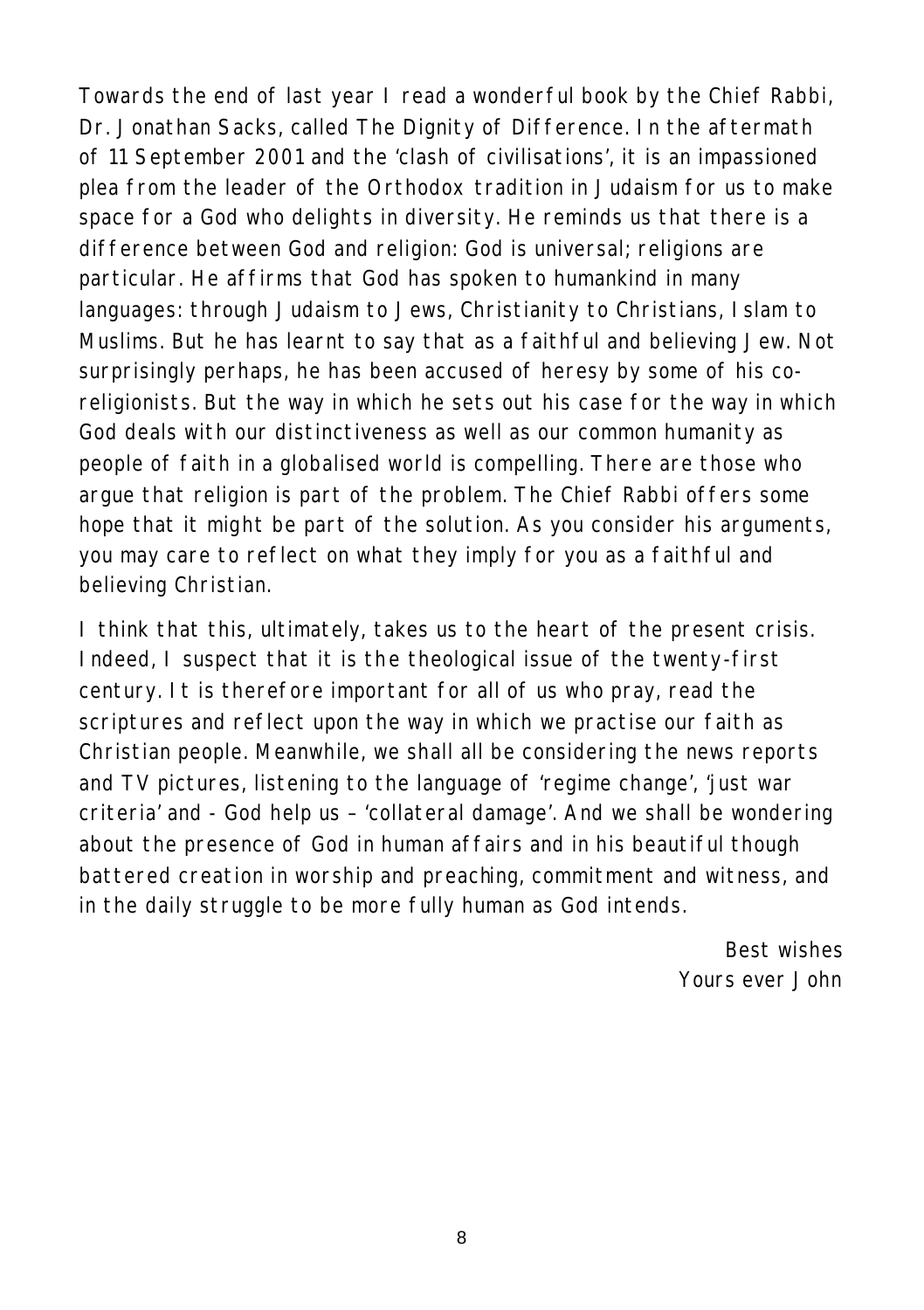Towards the end of last year I read a wonderful book by the Chief Rabbi, Dr. Jonathan Sacks, called The Dignity of Difference. In the aftermath of 11 September 2001 and the 'clash of civilisations', it is an impassioned plea from the leader of the Orthodox tradition in Judaism for us to make space for a God who delights in diversity. He reminds us that there is a difference between God and religion: God is universal; religions are particular. He affirms that God has spoken to humankind in many languages: through Judaism to Jews, Christianity to Christians, Islam to Muslims. But he has learnt to say that as a faithful and believing Jew. Not surprisingly perhaps, he has been accused of heresy by some of his coreligionists. But the way in which he sets out his case for the way in which God deals with our distinctiveness as well as our common humanity as people of faith in a globalised world is compelling. There are those who argue that religion is part of the problem. The Chief Rabbi offers some hope that it might be part of the solution. As you consider his arguments, you may care to reflect on what they imply for you as a faithful and believing Christian.

I think that this, ultimately, takes us to the heart of the present crisis. Indeed, I suspect that it is the theological issue of the twenty-first century. It is therefore important for all of us who pray, read the scriptures and reflect upon the way in which we practise our faith as Christian people. Meanwhile, we shall all be considering the news reports and TV pictures, listening to the language of 'regime change', 'just war criteria' and - God help us – 'collateral damage'. And we shall be wondering about the presence of God in human affairs and in his beautiful though battered creation in worship and preaching, commitment and witness, and in the daily struggle to be more fully human as God intends.

> *Best wishes Yours ever John*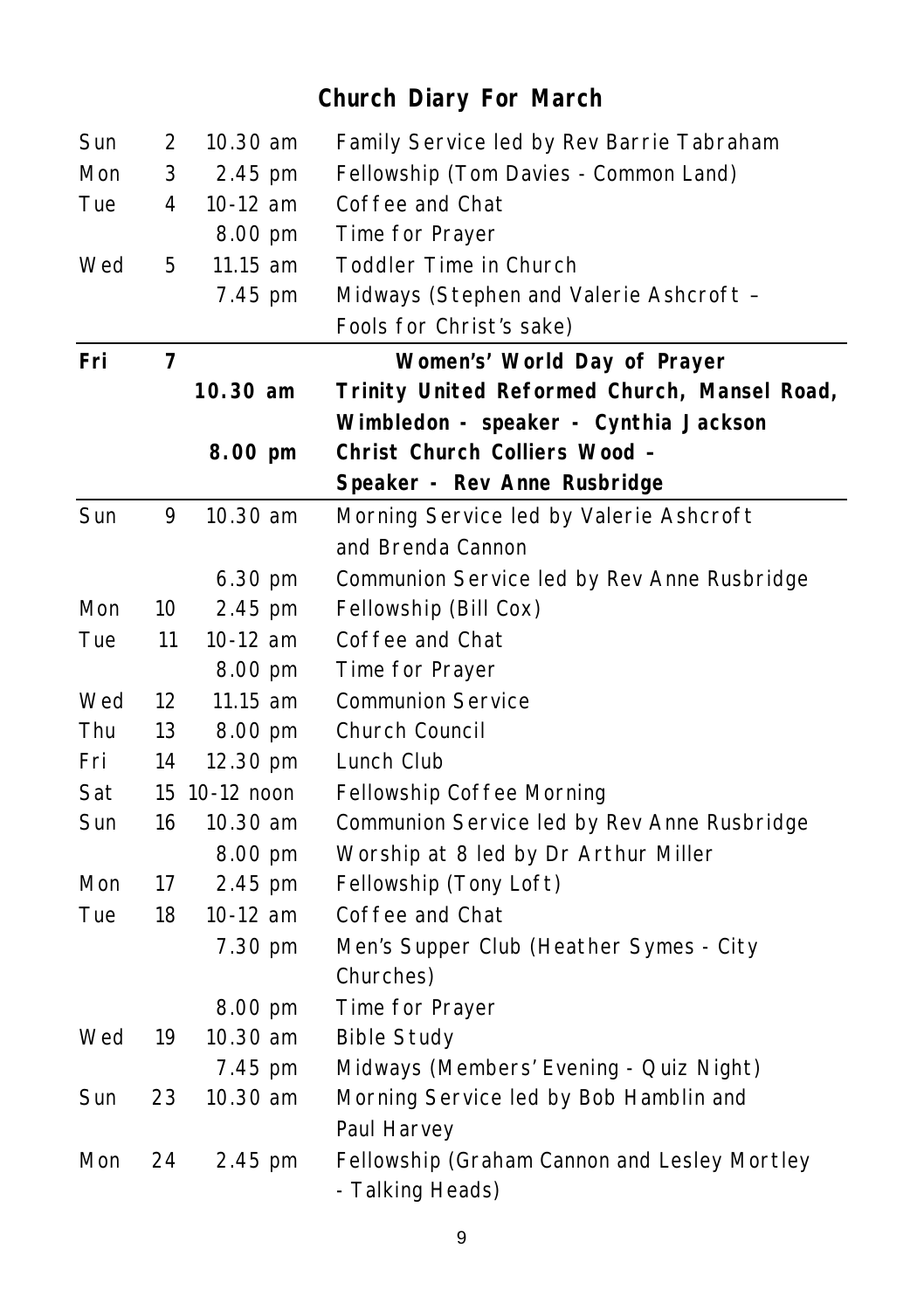## Sun 2 10.30 am Family Service led by Rev Barrie Tabraham Mon 3 2.45 pm Fellowship (Tom Davies - Common Land) Tue 4 10-12 am Coffee and Chat 8.00 pm Time for Prayer Wed 5 11.15 am Toddler Time in Church 7.45 pm Midways (Stephen and Valerie Ashcroft – Fools for Christ's sake) **Fri 7 Women's' World Day of Prayer 10.30 am Trinity United Reformed Church, Mansel Road, Wimbledon - speaker - Cynthia Jackson 8.00 pm Christ Church Colliers Wood – Speaker - Rev Anne Rusbridge** Sun 9 10.30 am Morning Service led by Valerie Ashcroft and Brenda Cannon 6.30 pm Communion Service led by Rev Anne Rusbridge Mon 10 2.45 pm Fellowship (Bill Cox) Tue 11 10-12 am Coffee and Chat 8.00 pm Time for Prayer Wed 12 11.15 am Communion Service Thu 13 8.00 pm Church Council Fri 14 12.30 pm Lunch Club Sat 15 10-12 noon Fellowship Coffee Morning Sun 16 10.30 am Communion Service led by Rev Anne Rusbridge 8.00 pm Worship at 8 led by Dr Arthur Miller Mon 17 2.45 pm Fellowship (Tony Loft) Tue 18 10-12 am Coffee and Chat 7.30 pm Men's Supper Club (Heather Symes - City Churches) 8.00 pm Time for Prayer Wed 19 10.30 am Bible Study 7.45 pm Midways (Members' Evening - Quiz Night) Sun 23 10.30 am Morning Service led by Bob Hamblin and Paul Harvey Mon 24 2.45 pm Fellowship (Graham Cannon and Lesley Mortley - Talking Heads)

#### **Church Diary For March**